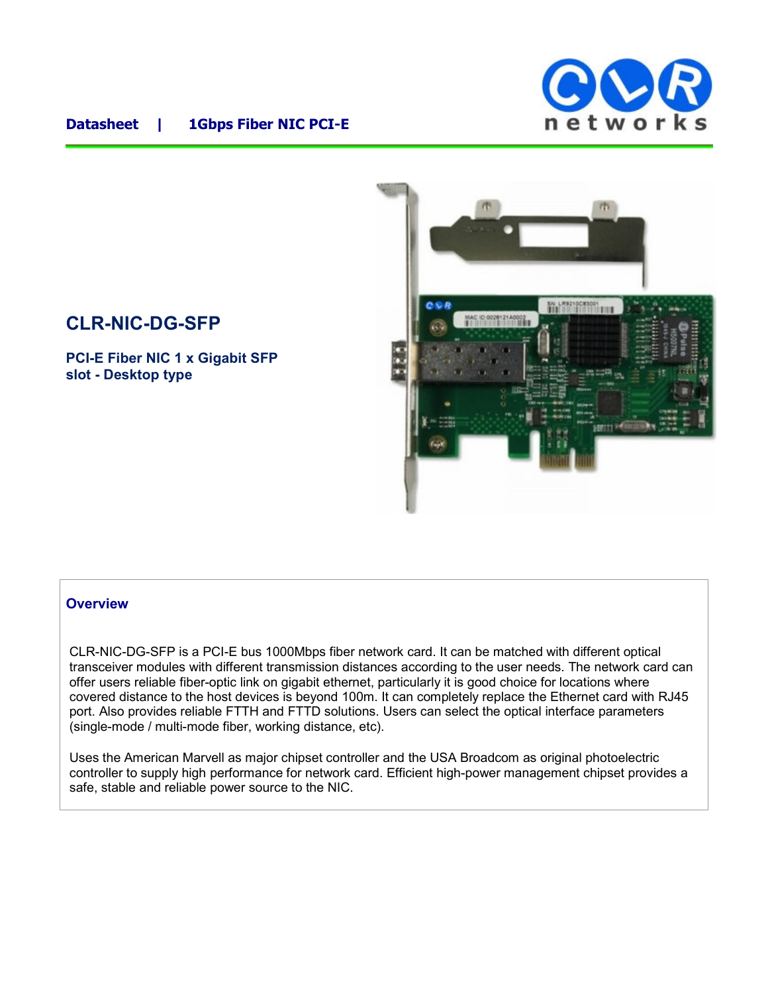

## **Datasheet | 1Gbps Fiber NIC PCI-E**

# **CLR-NIC-DG-SFP**

**PCI-E Fiber NIC 1 x Gigabit SFP slot - Desktop type**



#### **Overview**

CLR-NIC-DG-SFP is a PCI-E bus 1000Mbps fiber network card. It can be matched with different optical transceiver modules with different transmission distances according to the user needs. The network card can offer users reliable fiber-optic link on gigabit ethernet, particularly it is good choice for locations where covered distance to the host devices is beyond 100m. It can completely replace the Ethernet card with RJ45 port. Also provides reliable FTTH and FTTD solutions. Users can select the optical interface parameters (single-mode / multi-mode fiber, working distance, etc).

Uses the American Marvell as major chipset controller and the USA Broadcom as original photoelectric controller to supply high performance for network card. Efficient high-power management chipset provides a safe, stable and reliable power source to the NIC.